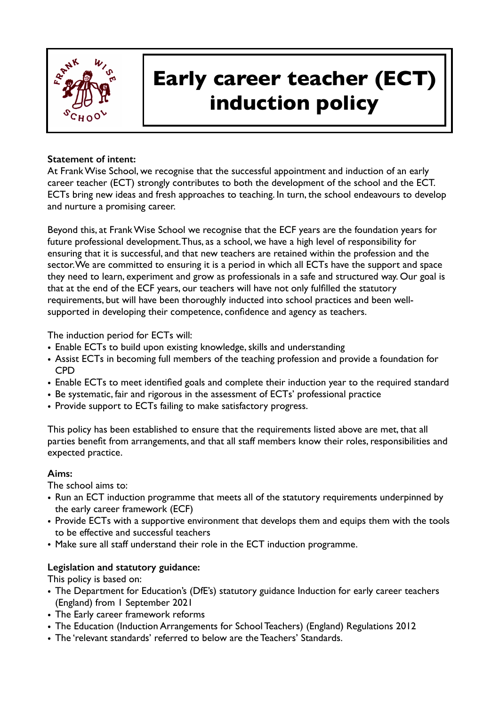

# **Early career teacher (ECT) induction policy**

#### **Statement of intent:**

At Frank Wise School, we recognise that the successful appointment and induction of an early career teacher (ECT) strongly contributes to both the development of the school and the ECT. ECTs bring new ideas and fresh approaches to teaching. In turn, the school endeavours to develop and nurture a promising career.

Beyond this, at Frank Wise School we recognise that the ECF years are the foundation years for future professional development. Thus, as a school, we have a high level of responsibility for ensuring that it is successful, and that new teachers are retained within the profession and the sector. We are committed to ensuring it is a period in which all ECTs have the support and space they need to learn, experiment and grow as professionals in a safe and structured way. Our goal is that at the end of the ECF years, our teachers will have not only fulfilled the statutory requirements, but will have been thoroughly inducted into school practices and been wellsupported in developing their competence, confidence and agency as teachers.

The induction period for ECTs will:

- Enable ECTs to build upon existing knowledge, skills and understanding
- Assist ECTs in becoming full members of the teaching profession and provide a foundation for CPD
- Enable ECTs to meet identified goals and complete their induction year to the required standard
- Be systematic, fair and rigorous in the assessment of ECTs' professional practice
- Provide support to ECTs failing to make satisfactory progress.

This policy has been established to ensure that the requirements listed above are met, that all parties benefit from arrangements, and that all staff members know their roles, responsibilities and expected practice.

## **Aims:**

The school aims to:

- Run an ECT induction programme that meets all of the statutory requirements underpinned by the early career framework (ECF)
- Provide ECTs with a supportive environment that develops them and equips them with the tools to be effective and successful teachers
- Make sure all staff understand their role in the ECT induction programme.

## **Legislation and statutory guidance:**

This policy is based on:

- The Department for Education's (DfE's) statutory guidance Induction for early career teachers (England) from 1 September 2021
- The Early career framework reforms
- The Education (Induction Arrangements for School Teachers) (England) Regulations 2012
- The 'relevant standards' referred to below are the Teachers' Standards.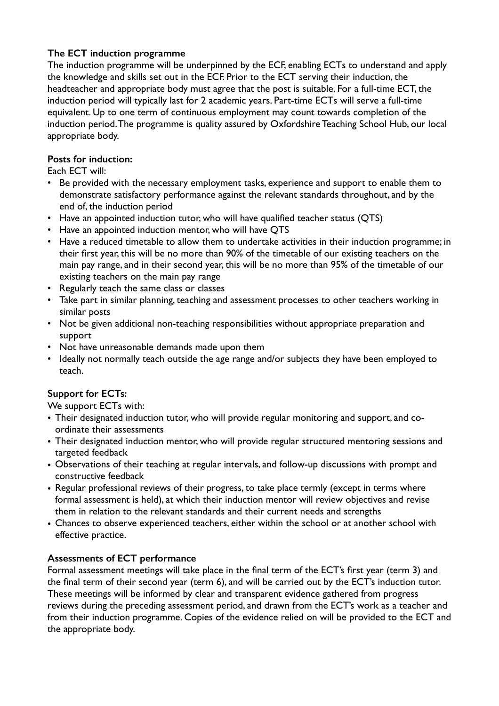## **The ECT induction programme**

The induction programme will be underpinned by the ECF, enabling ECTs to understand and apply the knowledge and skills set out in the ECF. Prior to the ECT serving their induction, the headteacher and appropriate body must agree that the post is suitable. For a full-time ECT, the induction period will typically last for 2 academic years. Part-time ECTs will serve a full-time equivalent. Up to one term of continuous employment may count towards completion of the induction period. The programme is quality assured by Oxfordshire Teaching School Hub, our local appropriate body.

## **Posts for induction:**

Each ECT will:

- Be provided with the necessary employment tasks, experience and support to enable them to demonstrate satisfactory performance against the relevant standards throughout, and by the end of, the induction period
- Have an appointed induction tutor, who will have qualified teacher status (QTS)
- Have an appointed induction mentor, who will have QTS
- Have a reduced timetable to allow them to undertake activities in their induction programme; in their first year, this will be no more than 90% of the timetable of our existing teachers on the main pay range, and in their second year, this will be no more than 95% of the timetable of our existing teachers on the main pay range
- Regularly teach the same class or classes
- Take part in similar planning, teaching and assessment processes to other teachers working in similar posts
- Not be given additional non-teaching responsibilities without appropriate preparation and support
- Not have unreasonable demands made upon them
- Ideally not normally teach outside the age range and/or subjects they have been employed to teach.

# **Support for ECTs:**

We support **ECTs** with:

- Their designated induction tutor, who will provide regular monitoring and support, and coordinate their assessments
- Their designated induction mentor, who will provide regular structured mentoring sessions and targeted feedback
- Observations of their teaching at regular intervals, and follow-up discussions with prompt and constructive feedback
- Regular professional reviews of their progress, to take place termly (except in terms where formal assessment is held), at which their induction mentor will review objectives and revise them in relation to the relevant standards and their current needs and strengths
- Chances to observe experienced teachers, either within the school or at another school with effective practice.

# **Assessments of ECT performance**

Formal assessment meetings will take place in the final term of the ECT's first year (term 3) and the final term of their second year (term 6), and will be carried out by the ECT's induction tutor. These meetings will be informed by clear and transparent evidence gathered from progress reviews during the preceding assessment period, and drawn from the ECT's work as a teacher and from their induction programme. Copies of the evidence relied on will be provided to the ECT and the appropriate body.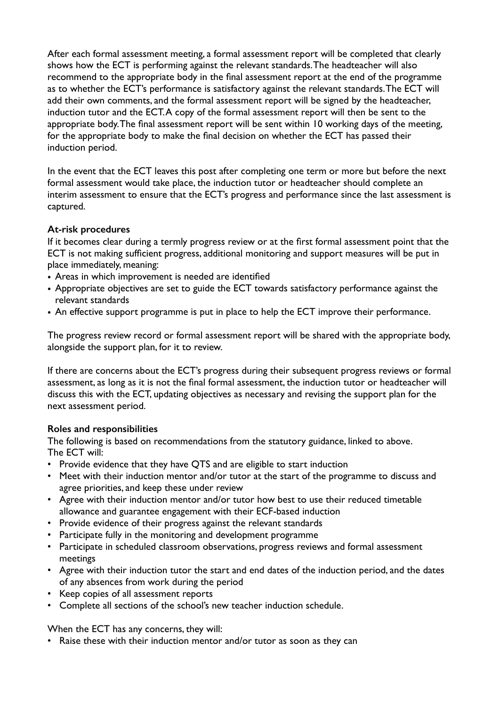After each formal assessment meeting, a formal assessment report will be completed that clearly shows how the ECT is performing against the relevant standards. The headteacher will also recommend to the appropriate body in the final assessment report at the end of the programme as to whether the ECT's performance is satisfactory against the relevant standards. The ECT will add their own comments, and the formal assessment report will be signed by the headteacher, induction tutor and the ECT. A copy of the formal assessment report will then be sent to the appropriate body. The final assessment report will be sent within 10 working days of the meeting, for the appropriate body to make the final decision on whether the ECT has passed their induction period.

In the event that the ECT leaves this post after completing one term or more but before the next formal assessment would take place, the induction tutor or headteacher should complete an interim assessment to ensure that the ECT's progress and performance since the last assessment is captured.

## **At-risk procedures**

If it becomes clear during a termly progress review or at the first formal assessment point that the ECT is not making sufficient progress, additional monitoring and support measures will be put in place immediately, meaning:

- Areas in which improvement is needed are identified
- Appropriate objectives are set to guide the ECT towards satisfactory performance against the relevant standards
- An effective support programme is put in place to help the ECT improve their performance.

The progress review record or formal assessment report will be shared with the appropriate body, alongside the support plan, for it to review.

If there are concerns about the ECT's progress during their subsequent progress reviews or formal assessment, as long as it is not the final formal assessment, the induction tutor or headteacher will discuss this with the ECT, updating objectives as necessary and revising the support plan for the next assessment period.

## **Roles and responsibilities**

The following is based on recommendations from the statutory guidance, linked to above. The ECT will:

- Provide evidence that they have QTS and are eligible to start induction
- Meet with their induction mentor and/or tutor at the start of the programme to discuss and agree priorities, and keep these under review
- Agree with their induction mentor and/or tutor how best to use their reduced timetable allowance and guarantee engagement with their ECF-based induction
- Provide evidence of their progress against the relevant standards
- Participate fully in the monitoring and development programme
- Participate in scheduled classroom observations, progress reviews and formal assessment meetings
- Agree with their induction tutor the start and end dates of the induction period, and the dates of any absences from work during the period
- Keep copies of all assessment reports
- Complete all sections of the school's new teacher induction schedule.

When the ECT has any concerns, they will:

• Raise these with their induction mentor and/or tutor as soon as they can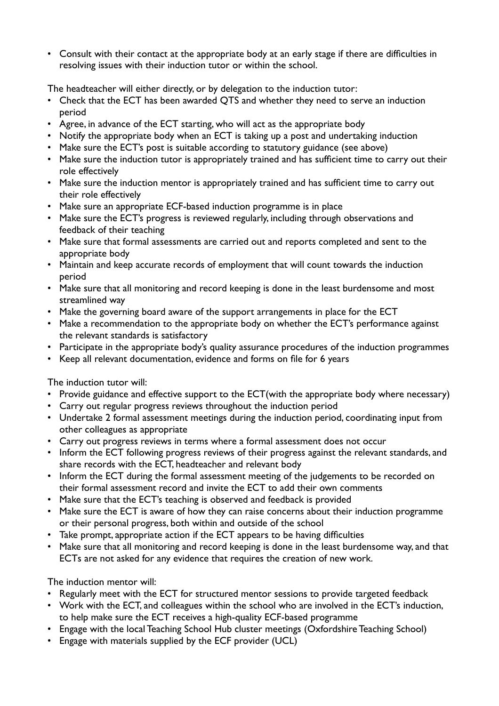• Consult with their contact at the appropriate body at an early stage if there are difficulties in resolving issues with their induction tutor or within the school.

The headteacher will either directly, or by delegation to the induction tutor:

- Check that the ECT has been awarded QTS and whether they need to serve an induction period
- Agree, in advance of the ECT starting, who will act as the appropriate body
- Notify the appropriate body when an ECT is taking up a post and undertaking induction
- Make sure the ECT's post is suitable according to statutory guidance (see above)
- Make sure the induction tutor is appropriately trained and has sufficient time to carry out their role effectively
- Make sure the induction mentor is appropriately trained and has sufficient time to carry out their role effectively
- Make sure an appropriate ECF-based induction programme is in place
- Make sure the ECT's progress is reviewed regularly, including through observations and feedback of their teaching
- Make sure that formal assessments are carried out and reports completed and sent to the appropriate body
- Maintain and keep accurate records of employment that will count towards the induction period
- Make sure that all monitoring and record keeping is done in the least burdensome and most streamlined way
- Make the governing board aware of the support arrangements in place for the ECT
- Make a recommendation to the appropriate body on whether the ECT's performance against the relevant standards is satisfactory
- Participate in the appropriate body's quality assurance procedures of the induction programmes
- Keep all relevant documentation, evidence and forms on file for 6 years

The induction tutor will:

- Provide guidance and effective support to the ECT(with the appropriate body where necessary)
- Carry out regular progress reviews throughout the induction period
- Undertake 2 formal assessment meetings during the induction period, coordinating input from other colleagues as appropriate
- Carry out progress reviews in terms where a formal assessment does not occur
- Inform the ECT following progress reviews of their progress against the relevant standards, and share records with the ECT, headteacher and relevant body
- Inform the ECT during the formal assessment meeting of the judgements to be recorded on their formal assessment record and invite the ECT to add their own comments
- Make sure that the ECT's teaching is observed and feedback is provided
- Make sure the ECT is aware of how they can raise concerns about their induction programme or their personal progress, both within and outside of the school
- Take prompt, appropriate action if the ECT appears to be having difficulties
- Make sure that all monitoring and record keeping is done in the least burdensome way, and that ECTs are not asked for any evidence that requires the creation of new work.

The induction mentor will:

- Regularly meet with the ECT for structured mentor sessions to provide targeted feedback
- Work with the ECT, and colleagues within the school who are involved in the ECT's induction, to help make sure the ECT receives a high-quality ECF-based programme
- Engage with the local Teaching School Hub cluster meetings (Oxfordshire Teaching School)
- Engage with materials supplied by the ECF provider (UCL)